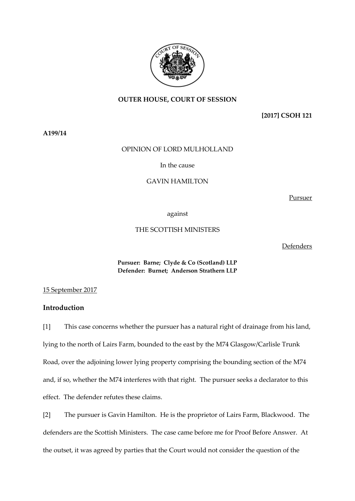

## **OUTER HOUSE, COURT OF SESSION**

**[2017] CSOH 121**

**A199/14**

## OPINION OF LORD MULHOLLAND

In the cause

## GAVIN HAMILTON

Pursuer

against

# THE SCOTTISH MINISTERS

Defenders

**Pursuer: Barne; Clyde & Co (Scotland) LLP Defender: Burnet; Anderson Strathern LLP**

15 September 2017

# **Introduction**

[1] This case concerns whether the pursuer has a natural right of drainage from his land, lying to the north of Lairs Farm, bounded to the east by the M74 Glasgow/Carlisle Trunk Road, over the adjoining lower lying property comprising the bounding section of the M74 and, if so, whether the M74 interferes with that right. The pursuer seeks a declarator to this effect. The defender refutes these claims.

[2] The pursuer is Gavin Hamilton. He is the proprietor of Lairs Farm, Blackwood. The defenders are the Scottish Ministers. The case came before me for Proof Before Answer. At the outset, it was agreed by parties that the Court would not consider the question of the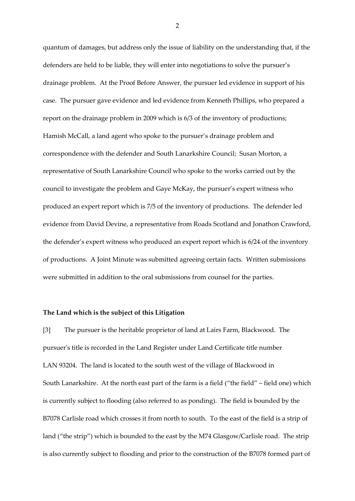quantum of damages, but address only the issue of liability on the understanding that, if the defenders are held to be liable, they will enter into negotiations to solve the pursuer's drainage problem. At the Proof Before Answer, the pursuer led evidence in support of his case. The pursuer gave evidence and led evidence from Kenneth Phillips, who prepared a report on the drainage problem in 2009 which is 6/3 of the inventory of productions; Hamish McCall, a land agent who spoke to the pursuer's drainage problem and correspondence with the defender and South Lanarkshire Council; Susan Morton, a representative of South Lanarkshire Council who spoke to the works carried out by the council to investigate the problem and Gaye McKay, the pursuer's expert witness who produced an expert report which is 7/5 of the inventory of productions. The defender led evidence from David Devine, a representative from Roads Scotland and Jonathon Crawford, the defender's expert witness who produced an expert report which is 6/24 of the inventory of productions. A Joint Minute was submitted agreeing certain facts. Written submissions were submitted in addition to the oral submissions from counsel for the parties.

#### **The Land which is the subject of this Litigation**

[3] The pursuer is the heritable proprietor of land at Lairs Farm, Blackwood. The pursuer's title is recorded in the Land Register under Land Certificate title number LAN 93204. The land is located to the south west of the village of Blackwood in South Lanarkshire. At the north east part of the farm is a field ("the field" – field one) which is currently subject to flooding (also referred to as ponding). The field is bounded by the B7078 Carlisle road which crosses it from north to south. To the east of the field is a strip of land ("the strip") which is bounded to the east by the M74 Glasgow/Carlisle road. The strip is also currently subject to flooding and prior to the construction of the B7078 formed part of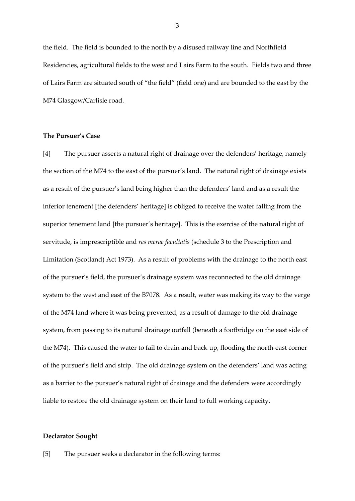the field. The field is bounded to the north by a disused railway line and Northfield Residencies, agricultural fields to the west and Lairs Farm to the south. Fields two and three of Lairs Farm are situated south of "the field" (field one) and are bounded to the east by the M74 Glasgow/Carlisle road.

### **The Pursuer's Case**

[4] The pursuer asserts a natural right of drainage over the defenders' heritage, namely the section of the M74 to the east of the pursuer's land. The natural right of drainage exists as a result of the pursuer's land being higher than the defenders' land and as a result the inferior tenement [the defenders' heritage] is obliged to receive the water falling from the superior tenement land [the pursuer's heritage]. This is the exercise of the natural right of servitude, is imprescriptible and *res merae facultatis* (schedule 3 to the Prescription and Limitation (Scotland) Act 1973). As a result of problems with the drainage to the north east of the pursuer's field, the pursuer's drainage system was reconnected to the old drainage system to the west and east of the B7078. As a result, water was making its way to the verge of the M74 land where it was being prevented, as a result of damage to the old drainage system, from passing to its natural drainage outfall (beneath a footbridge on the east side of the M74). This caused the water to fail to drain and back up, flooding the north-east corner of the pursuer's field and strip. The old drainage system on the defenders' land was acting as a barrier to the pursuer's natural right of drainage and the defenders were accordingly liable to restore the old drainage system on their land to full working capacity.

#### **Declarator Sought**

[5] The pursuer seeks a declarator in the following terms: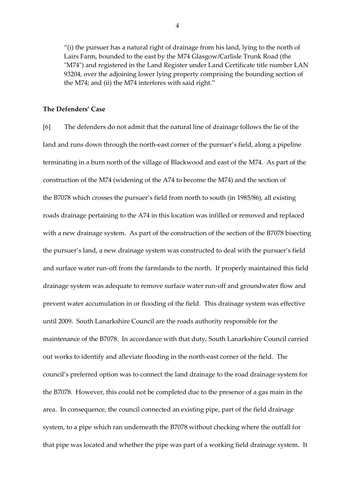"(i) the pursuer has a natural right of drainage from his land, lying to the north of Lairs Farm, bounded to the east by the M74 Glasgow/Carlisle Trunk Road (the "M74") and registered in the Land Register under Land Certificate title number LAN 93204, over the adjoining lower lying property comprising the bounding section of the M74; and (ii) the M74 interferes with said right."

### **The Defenders' Case**

[6] The defenders do not admit that the natural line of drainage follows the lie of the land and runs down through the north-east corner of the pursuer's field, along a pipeline terminating in a burn north of the village of Blackwood and east of the M74. As part of the construction of the M74 (widening of the A74 to become the M74) and the section of the B7078 which crosses the pursuer's field from north to south (in 1985/86), all existing roads drainage pertaining to the A74 in this location was infilled or removed and replaced with a new drainage system. As part of the construction of the section of the B7078 bisecting the pursuer's land, a new drainage system was constructed to deal with the pursuer's field and surface water run-off from the farmlands to the north. If properly maintained this field drainage system was adequate to remove surface water run-off and groundwater flow and prevent water accumulation in or flooding of the field. This drainage system was effective until 2009. South Lanarkshire Council are the roads authority responsible for the maintenance of the B7078. In accordance with that duty, South Lanarkshire Council carried out works to identify and alleviate flooding in the north-east corner of the field. The council's preferred option was to connect the land drainage to the road drainage system for the B7078. However, this could not be completed due to the presence of a gas main in the area. In consequence, the council connected an existing pipe, part of the field drainage system, to a pipe which ran underneath the B7078 without checking where the outfall for that pipe was located and whether the pipe was part of a working field drainage system. It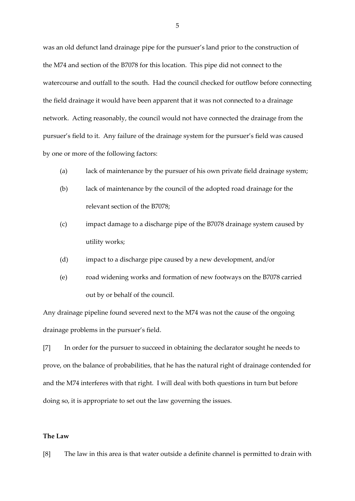was an old defunct land drainage pipe for the pursuer's land prior to the construction of the M74 and section of the B7078 for this location. This pipe did not connect to the watercourse and outfall to the south. Had the council checked for outflow before connecting the field drainage it would have been apparent that it was not connected to a drainage network. Acting reasonably, the council would not have connected the drainage from the pursuer's field to it. Any failure of the drainage system for the pursuer's field was caused by one or more of the following factors:

- (a) lack of maintenance by the pursuer of his own private field drainage system;
- (b) lack of maintenance by the council of the adopted road drainage for the relevant section of the B7078;
- (c) impact damage to a discharge pipe of the B7078 drainage system caused by utility works;
- (d) impact to a discharge pipe caused by a new development, and/or
- (e) road widening works and formation of new footways on the B7078 carried out by or behalf of the council.

Any drainage pipeline found severed next to the M74 was not the cause of the ongoing drainage problems in the pursuer's field.

[7] In order for the pursuer to succeed in obtaining the declarator sought he needs to prove, on the balance of probabilities, that he has the natural right of drainage contended for and the M74 interferes with that right. I will deal with both questions in turn but before doing so, it is appropriate to set out the law governing the issues.

#### **The Law**

[8] The law in this area is that water outside a definite channel is permitted to drain with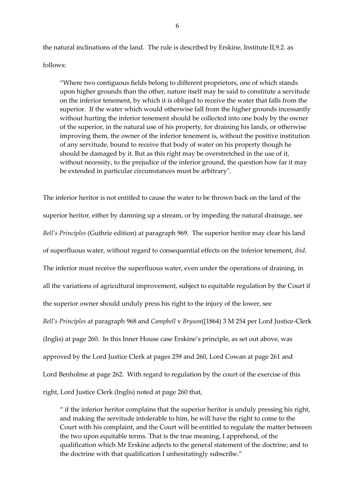the natural inclinations of the land. The rule is described by Erskine, Institute II,9.2. as

# follows:

"Where two contiguous fields belong to different proprietors, one of which stands upon higher grounds than the other, nature itself may be said to constitute a servitude on the inferior tenement, by which it is obliged to receive the water that falls from the superior. If the water which would otherwise fall from the higher grounds incessantly without hurting the inferior tenement should be collected into one body by the owner of the superior, in the natural use of his property, for draining his lands, or otherwise improving them, the owner of the inferior tenement is, without the positive institution of any servitude, bound to receive that body of water on his property though he should be damaged by it. But as this right may be overstretched in the use of it, without necessity, to the prejudice of the inferior ground, the question how far it may be extended in particular circumstances must be arbitrary".

The inferior heritor is not entitled to cause the water to be thrown back on the land of the superior heritor, either by damning up a stream, or by impeding the natural drainage, see *Bell's Principles* (Guthrie edition) at paragraph 969. The superior heritor may clear his land of superfluous water, without regard to consequential effects on the inferior tenement, *ibid*. The inferior must receive the superfluous water, even under the operations of draining, in all the variations of agricultural improvement, subject to equitable regulation by the Court if the superior owner should unduly press his right to the injury of the lower, see *Bell's Principles* at paragraph 968 and *Campbell* v *Bryson*([1864) 3 M 254 per Lord Justice-Clerk (Inglis) at page 260. In this Inner House case Erskine's principle, as set out above, was approved by the Lord Justice Clerk at pages 259 and 260, Lord Cowan at page 261 and Lord Benholme at page 262. With regard to regulation by the court of the exercise of this right, Lord Justice Clerk (Inglis) noted at page 260 that,

" if the inferior heritor complains that the superior heritor is unduly pressing his right, and making the servitude intolerable to him, he will have the right to come to the Court with his complaint, and the Court will be entitled to regulate the matter between the two upon equitable terms. That is the true meaning, I apprehend, of the qualification which Mr Erskine adjects to the general statement of the doctrine; and to the doctrine with that qualification I unhesitatingly subscribe."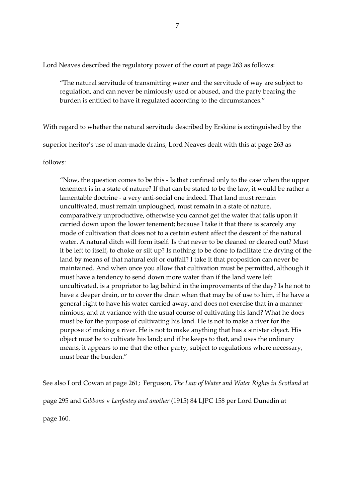Lord Neaves described the regulatory power of the court at page 263 as follows:

"The natural servitude of transmitting water and the servitude of way are subject to regulation, and can never be nimiously used or abused, and the party bearing the burden is entitled to have it regulated according to the circumstances."

With regard to whether the natural servitude described by Erskine is extinguished by the

superior heritor's use of man-made drains, Lord Neaves dealt with this at page 263 as

follows:

"Now, the question comes to be this - Is that confined only to the case when the upper tenement is in a state of nature? If that can be stated to be the law, it would be rather a lamentable doctrine - a very anti-social one indeed. That land must remain uncultivated, must remain unploughed, must remain in a state of nature, comparatively unproductive, otherwise you cannot get the water that falls upon it carried down upon the lower tenement; because I take it that there is scarcely any mode of cultivation that does not to a certain extent affect the descent of the natural water. A natural ditch will form itself. Is that never to be cleaned or cleared out? Must it be left to itself, to choke or silt up? Is nothing to be done to facilitate the drying of the land by means of that natural exit or outfall? I take it that proposition can never be maintained. And when once you allow that cultivation must be permitted, although it must have a tendency to send down more water than if the land were left uncultivated, is a proprietor to lag behind in the improvements of the day? Is he not to have a deeper drain, or to cover the drain when that may be of use to him, if he have a general right to have his water carried away, and does not exercise that in a manner nimious, and at variance with the usual course of cultivating his land? What he does must be for the purpose of cultivating his land. He is not to make a river for the purpose of making a river. He is not to make anything that has a sinister object. His object must be to cultivate his land; and if he keeps to that, and uses the ordinary means, it appears to me that the other party, subject to regulations where necessary, must bear the burden."

See also Lord Cowan at page 261; Ferguson, *The Law of Water and Water Rights in Scotland* at

page 295 and *Gibbons* v *Lenfestey and another* (1915) 84 LJPC 158 per Lord Dunedin at

page 160.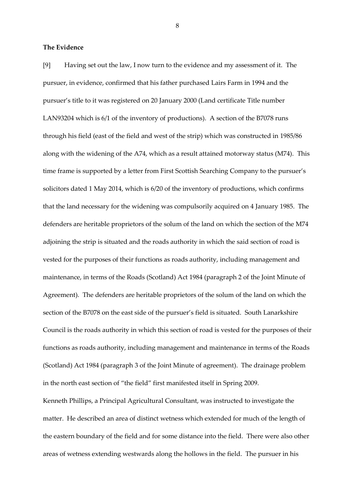### **The Evidence**

[9] Having set out the law, I now turn to the evidence and my assessment of it. The pursuer, in evidence, confirmed that his father purchased Lairs Farm in 1994 and the pursuer's title to it was registered on 20 January 2000 (Land certificate Title number LAN93204 which is 6/1 of the inventory of productions). A section of the B7078 runs through his field (east of the field and west of the strip) which was constructed in 1985/86 along with the widening of the A74, which as a result attained motorway status (M74). This time frame is supported by a letter from First Scottish Searching Company to the pursuer's solicitors dated 1 May 2014, which is 6/20 of the inventory of productions, which confirms that the land necessary for the widening was compulsorily acquired on 4 January 1985. The defenders are heritable proprietors of the solum of the land on which the section of the M74 adjoining the strip is situated and the roads authority in which the said section of road is vested for the purposes of their functions as roads authority, including management and maintenance, in terms of the Roads (Scotland) Act 1984 (paragraph 2 of the Joint Minute of Agreement). The defenders are heritable proprietors of the solum of the land on which the section of the B7078 on the east side of the pursuer's field is situated. South Lanarkshire Council is the roads authority in which this section of road is vested for the purposes of their functions as roads authority, including management and maintenance in terms of the Roads (Scotland) Act 1984 (paragraph 3 of the Joint Minute of agreement). The drainage problem in the north east section of "the field" first manifested itself in Spring 2009.

Kenneth Phillips, a Principal Agricultural Consultant, was instructed to investigate the matter. He described an area of distinct wetness which extended for much of the length of the eastern boundary of the field and for some distance into the field. There were also other areas of wetness extending westwards along the hollows in the field. The pursuer in his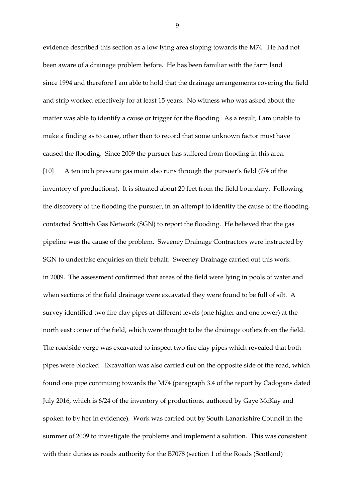evidence described this section as a low lying area sloping towards the M74. He had not been aware of a drainage problem before. He has been familiar with the farm land since 1994 and therefore I am able to hold that the drainage arrangements covering the field and strip worked effectively for at least 15 years. No witness who was asked about the matter was able to identify a cause or trigger for the flooding. As a result, I am unable to make a finding as to cause, other than to record that some unknown factor must have caused the flooding. Since 2009 the pursuer has suffered from flooding in this area. [10] A ten inch pressure gas main also runs through the pursuer's field (7/4 of the inventory of productions). It is situated about 20 feet from the field boundary. Following the discovery of the flooding the pursuer, in an attempt to identify the cause of the flooding, contacted Scottish Gas Network (SGN) to report the flooding. He believed that the gas pipeline was the cause of the problem. Sweeney Drainage Contractors were instructed by SGN to undertake enquiries on their behalf. Sweeney Drainage carried out this work in 2009. The assessment confirmed that areas of the field were lying in pools of water and when sections of the field drainage were excavated they were found to be full of silt. A survey identified two fire clay pipes at different levels (one higher and one lower) at the north east corner of the field, which were thought to be the drainage outlets from the field. The roadside verge was excavated to inspect two fire clay pipes which revealed that both pipes were blocked. Excavation was also carried out on the opposite side of the road, which found one pipe continuing towards the M74 (paragraph 3.4 of the report by Cadogans dated July 2016, which is 6/24 of the inventory of productions, authored by Gaye McKay and spoken to by her in evidence). Work was carried out by South Lanarkshire Council in the summer of 2009 to investigate the problems and implement a solution. This was consistent with their duties as roads authority for the B7078 (section 1 of the Roads (Scotland)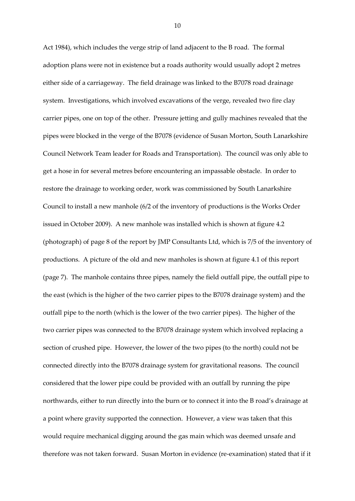Act 1984), which includes the verge strip of land adjacent to the B road. The formal adoption plans were not in existence but a roads authority would usually adopt 2 metres either side of a carriageway. The field drainage was linked to the B7078 road drainage system. Investigations, which involved excavations of the verge, revealed two fire clay carrier pipes, one on top of the other. Pressure jetting and gully machines revealed that the pipes were blocked in the verge of the B7078 (evidence of Susan Morton, South Lanarkshire Council Network Team leader for Roads and Transportation). The council was only able to get a hose in for several metres before encountering an impassable obstacle. In order to restore the drainage to working order, work was commissioned by South Lanarkshire Council to install a new manhole (6/2 of the inventory of productions is the Works Order issued in October 2009). A new manhole was installed which is shown at figure 4.2 (photograph) of page 8 of the report by JMP Consultants Ltd, which is 7/5 of the inventory of productions. A picture of the old and new manholes is shown at figure 4.1 of this report (page 7). The manhole contains three pipes, namely the field outfall pipe, the outfall pipe to the east (which is the higher of the two carrier pipes to the B7078 drainage system) and the outfall pipe to the north (which is the lower of the two carrier pipes). The higher of the two carrier pipes was connected to the B7078 drainage system which involved replacing a section of crushed pipe. However, the lower of the two pipes (to the north) could not be connected directly into the B7078 drainage system for gravitational reasons. The council considered that the lower pipe could be provided with an outfall by running the pipe northwards, either to run directly into the burn or to connect it into the B road's drainage at a point where gravity supported the connection. However, a view was taken that this would require mechanical digging around the gas main which was deemed unsafe and therefore was not taken forward. Susan Morton in evidence (re-examination) stated that if it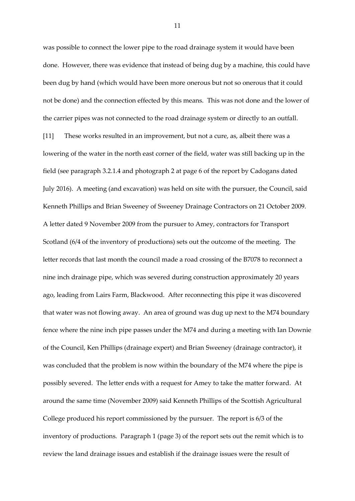was possible to connect the lower pipe to the road drainage system it would have been done. However, there was evidence that instead of being dug by a machine, this could have been dug by hand (which would have been more onerous but not so onerous that it could not be done) and the connection effected by this means. This was not done and the lower of the carrier pipes was not connected to the road drainage system or directly to an outfall.

[11] These works resulted in an improvement, but not a cure, as, albeit there was a lowering of the water in the north east corner of the field, water was still backing up in the field (see paragraph 3.2.1.4 and photograph 2 at page 6 of the report by Cadogans dated July 2016). A meeting (and excavation) was held on site with the pursuer, the Council, said Kenneth Phillips and Brian Sweeney of Sweeney Drainage Contractors on 21 October 2009. A letter dated 9 November 2009 from the pursuer to Amey, contractors for Transport Scotland (6/4 of the inventory of productions) sets out the outcome of the meeting. The letter records that last month the council made a road crossing of the B7078 to reconnect a nine inch drainage pipe, which was severed during construction approximately 20 years ago, leading from Lairs Farm, Blackwood. After reconnecting this pipe it was discovered that water was not flowing away. An area of ground was dug up next to the M74 boundary fence where the nine inch pipe passes under the M74 and during a meeting with Ian Downie of the Council, Ken Phillips (drainage expert) and Brian Sweeney (drainage contractor), it was concluded that the problem is now within the boundary of the M74 where the pipe is possibly severed. The letter ends with a request for Amey to take the matter forward. At around the same time (November 2009) said Kenneth Phillips of the Scottish Agricultural College produced his report commissioned by the pursuer. The report is 6/3 of the inventory of productions. Paragraph 1 (page 3) of the report sets out the remit which is to review the land drainage issues and establish if the drainage issues were the result of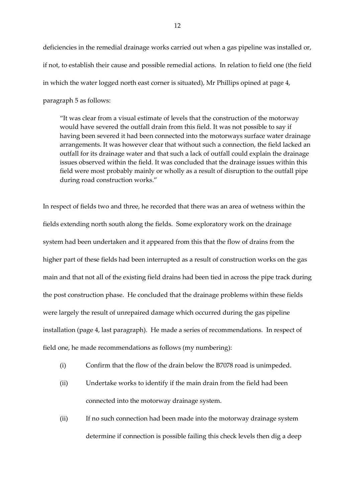deficiencies in the remedial drainage works carried out when a gas pipeline was installed or, if not, to establish their cause and possible remedial actions. In relation to field one (the field in which the water logged north east corner is situated), Mr Phillips opined at page 4, paragraph 5 as follows:

"It was clear from a visual estimate of levels that the construction of the motorway would have severed the outfall drain from this field. It was not possible to say if having been severed it had been connected into the motorways surface water drainage arrangements. It was however clear that without such a connection, the field lacked an outfall for its drainage water and that such a lack of outfall could explain the drainage issues observed within the field. It was concluded that the drainage issues within this field were most probably mainly or wholly as a result of disruption to the outfall pipe during road construction works."

In respect of fields two and three, he recorded that there was an area of wetness within the fields extending north south along the fields. Some exploratory work on the drainage system had been undertaken and it appeared from this that the flow of drains from the higher part of these fields had been interrupted as a result of construction works on the gas main and that not all of the existing field drains had been tied in across the pipe track during the post construction phase. He concluded that the drainage problems within these fields were largely the result of unrepaired damage which occurred during the gas pipeline installation (page 4, last paragraph). He made a series of recommendations. In respect of field one, he made recommendations as follows (my numbering):

- (i) Confirm that the flow of the drain below the B7078 road is unimpeded.
- (ii) Undertake works to identify if the main drain from the field had been connected into the motorway drainage system.
- (ii) If no such connection had been made into the motorway drainage system determine if connection is possible failing this check levels then dig a deep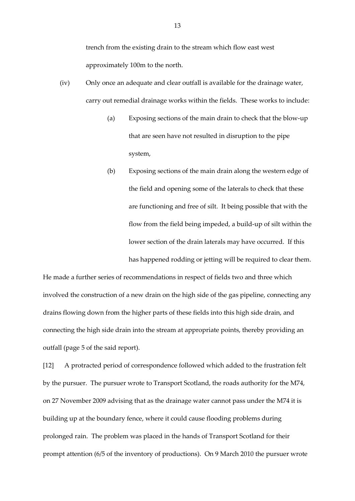trench from the existing drain to the stream which flow east west approximately 100m to the north.

- (iv) Only once an adequate and clear outfall is available for the drainage water, carry out remedial drainage works within the fields. These works to include:
	- (a) Exposing sections of the main drain to check that the blow-up that are seen have not resulted in disruption to the pipe system,
	- (b) Exposing sections of the main drain along the western edge of the field and opening some of the laterals to check that these are functioning and free of silt. It being possible that with the flow from the field being impeded, a build-up of silt within the lower section of the drain laterals may have occurred. If this has happened rodding or jetting will be required to clear them.

He made a further series of recommendations in respect of fields two and three which involved the construction of a new drain on the high side of the gas pipeline, connecting any drains flowing down from the higher parts of these fields into this high side drain, and connecting the high side drain into the stream at appropriate points, thereby providing an outfall (page 5 of the said report).

[12] A protracted period of correspondence followed which added to the frustration felt by the pursuer. The pursuer wrote to Transport Scotland, the roads authority for the M74, on 27 November 2009 advising that as the drainage water cannot pass under the M74 it is building up at the boundary fence, where it could cause flooding problems during prolonged rain. The problem was placed in the hands of Transport Scotland for their prompt attention (6/5 of the inventory of productions). On 9 March 2010 the pursuer wrote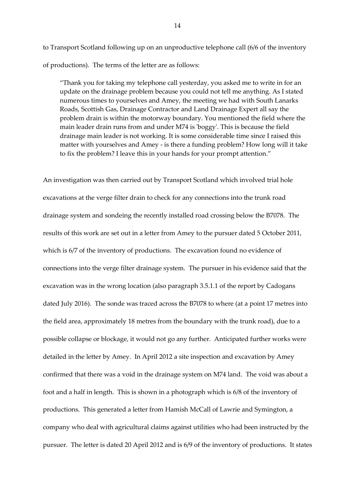to Transport Scotland following up on an unproductive telephone call (6/6 of the inventory of productions). The terms of the letter are as follows:

"Thank you for taking my telephone call yesterday, you asked me to write in for an update on the drainage problem because you could not tell me anything. As I stated numerous times to yourselves and Amey, the meeting we had with South Lanarks Roads, Scottish Gas, Drainage Contractor and Land Drainage Expert all say the problem drain is within the motorway boundary. You mentioned the field where the main leader drain runs from and under M74 is 'boggy'. This is because the field drainage main leader is not working. It is some considerable time since I raised this matter with yourselves and Amey - is there a funding problem? How long will it take to fix the problem? I leave this in your hands for your prompt attention."

An investigation was then carried out by Transport Scotland which involved trial hole excavations at the verge filter drain to check for any connections into the trunk road drainage system and sondeing the recently installed road crossing below the B7078. The results of this work are set out in a letter from Amey to the pursuer dated 5 October 2011, which is 6/7 of the inventory of productions. The excavation found no evidence of connections into the verge filter drainage system. The pursuer in his evidence said that the excavation was in the wrong location (also paragraph 3.5.1.1 of the report by Cadogans dated July 2016). The sonde was traced across the B7078 to where (at a point 17 metres into the field area, approximately 18 metres from the boundary with the trunk road), due to a possible collapse or blockage, it would not go any further. Anticipated further works were detailed in the letter by Amey. In April 2012 a site inspection and excavation by Amey confirmed that there was a void in the drainage system on M74 land. The void was about a foot and a half in length. This is shown in a photograph which is 6/8 of the inventory of productions. This generated a letter from Hamish McCall of Lawrie and Symington, a company who deal with agricultural claims against utilities who had been instructed by the pursuer. The letter is dated 20 April 2012 and is 6/9 of the inventory of productions. It states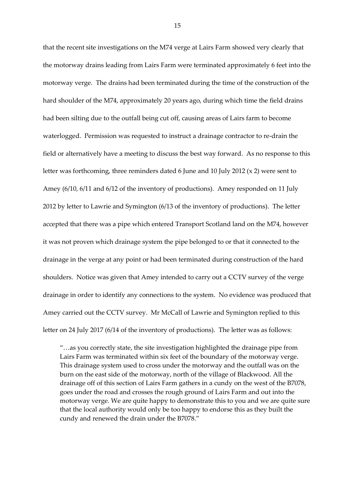that the recent site investigations on the M74 verge at Lairs Farm showed very clearly that the motorway drains leading from Lairs Farm were terminated approximately 6 feet into the motorway verge. The drains had been terminated during the time of the construction of the hard shoulder of the M74, approximately 20 years ago, during which time the field drains had been silting due to the outfall being cut off, causing areas of Lairs farm to become waterlogged. Permission was requested to instruct a drainage contractor to re-drain the field or alternatively have a meeting to discuss the best way forward. As no response to this letter was forthcoming, three reminders dated 6 June and 10 July 2012 (x 2) were sent to Amey (6/10, 6/11 and 6/12 of the inventory of productions). Amey responded on 11 July 2012 by letter to Lawrie and Symington (6/13 of the inventory of productions). The letter accepted that there was a pipe which entered Transport Scotland land on the M74, however it was not proven which drainage system the pipe belonged to or that it connected to the drainage in the verge at any point or had been terminated during construction of the hard shoulders. Notice was given that Amey intended to carry out a CCTV survey of the verge drainage in order to identify any connections to the system. No evidence was produced that Amey carried out the CCTV survey. Mr McCall of Lawrie and Symington replied to this letter on 24 July 2017 (6/14 of the inventory of productions). The letter was as follows:

"…as you correctly state, the site investigation highlighted the drainage pipe from Lairs Farm was terminated within six feet of the boundary of the motorway verge. This drainage system used to cross under the motorway and the outfall was on the burn on the east side of the motorway, north of the village of Blackwood. All the drainage off of this section of Lairs Farm gathers in a cundy on the west of the B7078, goes under the road and crosses the rough ground of Lairs Farm and out into the motorway verge. We are quite happy to demonstrate this to you and we are quite sure that the local authority would only be too happy to endorse this as they built the cundy and renewed the drain under the B7078."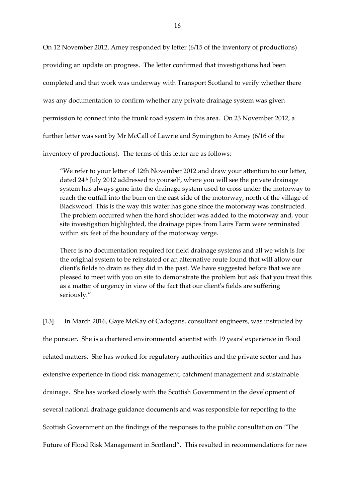On 12 November 2012, Amey responded by letter (6/15 of the inventory of productions) providing an update on progress. The letter confirmed that investigations had been completed and that work was underway with Transport Scotland to verify whether there was any documentation to confirm whether any private drainage system was given permission to connect into the trunk road system in this area. On 23 November 2012, a further letter was sent by Mr McCall of Lawrie and Symington to Amey (6/16 of the

inventory of productions). The terms of this letter are as follows:

"We refer to your letter of 12th November 2012 and draw your attention to our letter, dated 24th July 2012 addressed to yourself, where you will see the private drainage system has always gone into the drainage system used to cross under the motorway to reach the outfall into the burn on the east side of the motorway, north of the village of Blackwood. This is the way this water has gone since the motorway was constructed. The problem occurred when the hard shoulder was added to the motorway and, your site investigation highlighted, the drainage pipes from Lairs Farm were terminated within six feet of the boundary of the motorway verge.

There is no documentation required for field drainage systems and all we wish is for the original system to be reinstated or an alternative route found that will allow our client's fields to drain as they did in the past. We have suggested before that we are pleased to meet with you on site to demonstrate the problem but ask that you treat this as a matter of urgency in view of the fact that our client's fields are suffering seriously."

[13] In March 2016, Gaye McKay of Cadogans, consultant engineers, was instructed by the pursuer. She is a chartered environmental scientist with 19 years' experience in flood related matters. She has worked for regulatory authorities and the private sector and has extensive experience in flood risk management, catchment management and sustainable drainage. She has worked closely with the Scottish Government in the development of several national drainage guidance documents and was responsible for reporting to the Scottish Government on the findings of the responses to the public consultation on "The Future of Flood Risk Management in Scotland". This resulted in recommendations for new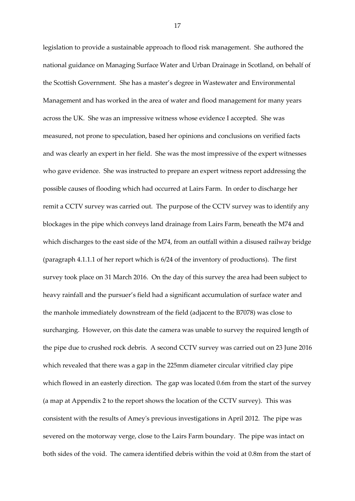legislation to provide a sustainable approach to flood risk management. She authored the national guidance on Managing Surface Water and Urban Drainage in Scotland, on behalf of the Scottish Government. She has a master's degree in Wastewater and Environmental Management and has worked in the area of water and flood management for many years across the UK. She was an impressive witness whose evidence I accepted. She was measured, not prone to speculation, based her opinions and conclusions on verified facts and was clearly an expert in her field. She was the most impressive of the expert witnesses who gave evidence. She was instructed to prepare an expert witness report addressing the possible causes of flooding which had occurred at Lairs Farm. In order to discharge her remit a CCTV survey was carried out. The purpose of the CCTV survey was to identify any blockages in the pipe which conveys land drainage from Lairs Farm, beneath the M74 and which discharges to the east side of the M74, from an outfall within a disused railway bridge (paragraph 4.1.1.1 of her report which is 6/24 of the inventory of productions). The first survey took place on 31 March 2016. On the day of this survey the area had been subject to heavy rainfall and the pursuer's field had a significant accumulation of surface water and the manhole immediately downstream of the field (adjacent to the B7078) was close to surcharging. However, on this date the camera was unable to survey the required length of the pipe due to crushed rock debris. A second CCTV survey was carried out on 23 June 2016 which revealed that there was a gap in the 225mm diameter circular vitrified clay pipe which flowed in an easterly direction. The gap was located 0.6m from the start of the survey (a map at Appendix 2 to the report shows the location of the CCTV survey). This was consistent with the results of Amey's previous investigations in April 2012. The pipe was severed on the motorway verge, close to the Lairs Farm boundary. The pipe was intact on both sides of the void. The camera identified debris within the void at 0.8m from the start of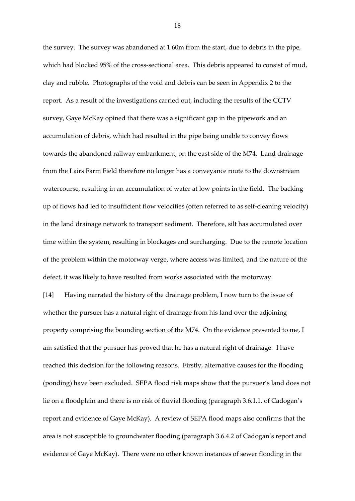the survey. The survey was abandoned at 1.60m from the start, due to debris in the pipe, which had blocked 95% of the cross-sectional area. This debris appeared to consist of mud, clay and rubble. Photographs of the void and debris can be seen in Appendix 2 to the report. As a result of the investigations carried out, including the results of the CCTV survey, Gaye McKay opined that there was a significant gap in the pipework and an accumulation of debris, which had resulted in the pipe being unable to convey flows towards the abandoned railway embankment, on the east side of the M74. Land drainage from the Lairs Farm Field therefore no longer has a conveyance route to the downstream watercourse, resulting in an accumulation of water at low points in the field. The backing up of flows had led to insufficient flow velocities (often referred to as self-cleaning velocity) in the land drainage network to transport sediment. Therefore, silt has accumulated over time within the system, resulting in blockages and surcharging. Due to the remote location of the problem within the motorway verge, where access was limited, and the nature of the defect, it was likely to have resulted from works associated with the motorway.

[14] Having narrated the history of the drainage problem, I now turn to the issue of whether the pursuer has a natural right of drainage from his land over the adjoining property comprising the bounding section of the M74. On the evidence presented to me, I am satisfied that the pursuer has proved that he has a natural right of drainage. I have reached this decision for the following reasons. Firstly, alternative causes for the flooding (ponding) have been excluded. SEPA flood risk maps show that the pursuer's land does not lie on a floodplain and there is no risk of fluvial flooding (paragraph 3.6.1.1. of Cadogan's report and evidence of Gaye McKay). A review of SEPA flood maps also confirms that the area is not susceptible to groundwater flooding (paragraph 3.6.4.2 of Cadogan's report and evidence of Gaye McKay). There were no other known instances of sewer flooding in the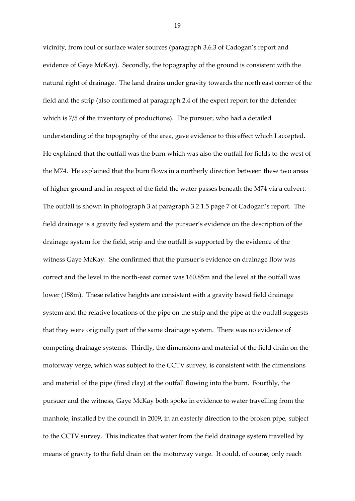vicinity, from foul or surface water sources (paragraph 3.6.3 of Cadogan's report and evidence of Gaye McKay). Secondly, the topography of the ground is consistent with the natural right of drainage. The land drains under gravity towards the north east corner of the field and the strip (also confirmed at paragraph 2.4 of the expert report for the defender which is 7/5 of the inventory of productions). The pursuer, who had a detailed understanding of the topography of the area, gave evidence to this effect which I accepted. He explained that the outfall was the burn which was also the outfall for fields to the west of the M74. He explained that the burn flows in a northerly direction between these two areas of higher ground and in respect of the field the water passes beneath the M74 via a culvert. The outfall is shown in photograph 3 at paragraph 3.2.1.5 page 7 of Cadogan's report. The field drainage is a gravity fed system and the pursuer's evidence on the description of the drainage system for the field, strip and the outfall is supported by the evidence of the witness Gaye McKay. She confirmed that the pursuer's evidence on drainage flow was correct and the level in the north-east corner was 160.85m and the level at the outfall was lower (158m). These relative heights are consistent with a gravity based field drainage system and the relative locations of the pipe on the strip and the pipe at the outfall suggests that they were originally part of the same drainage system. There was no evidence of competing drainage systems. Thirdly, the dimensions and material of the field drain on the motorway verge, which was subject to the CCTV survey, is consistent with the dimensions and material of the pipe (fired clay) at the outfall flowing into the burn. Fourthly, the pursuer and the witness, Gaye McKay both spoke in evidence to water travelling from the manhole, installed by the council in 2009, in an easterly direction to the broken pipe, subject to the CCTV survey. This indicates that water from the field drainage system travelled by means of gravity to the field drain on the motorway verge. It could, of course, only reach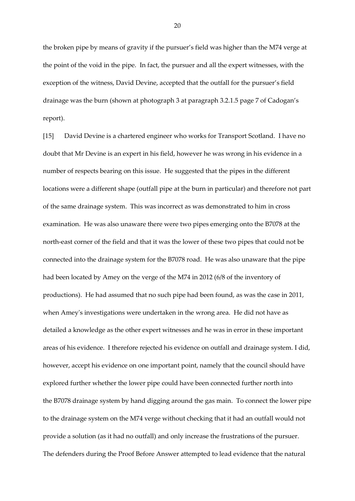the broken pipe by means of gravity if the pursuer's field was higher than the M74 verge at the point of the void in the pipe. In fact, the pursuer and all the expert witnesses, with the exception of the witness, David Devine, accepted that the outfall for the pursuer's field drainage was the burn (shown at photograph 3 at paragraph 3.2.1.5 page 7 of Cadogan's report).

[15] David Devine is a chartered engineer who works for Transport Scotland. I have no doubt that Mr Devine is an expert in his field, however he was wrong in his evidence in a number of respects bearing on this issue. He suggested that the pipes in the different locations were a different shape (outfall pipe at the burn in particular) and therefore not part of the same drainage system. This was incorrect as was demonstrated to him in cross examination. He was also unaware there were two pipes emerging onto the B7078 at the north-east corner of the field and that it was the lower of these two pipes that could not be connected into the drainage system for the B7078 road. He was also unaware that the pipe had been located by Amey on the verge of the M74 in 2012 (6/8 of the inventory of productions). He had assumed that no such pipe had been found, as was the case in 2011, when Amey's investigations were undertaken in the wrong area. He did not have as detailed a knowledge as the other expert witnesses and he was in error in these important areas of his evidence. I therefore rejected his evidence on outfall and drainage system. I did, however, accept his evidence on one important point, namely that the council should have explored further whether the lower pipe could have been connected further north into the B7078 drainage system by hand digging around the gas main. To connect the lower pipe to the drainage system on the M74 verge without checking that it had an outfall would not provide a solution (as it had no outfall) and only increase the frustrations of the pursuer. The defenders during the Proof Before Answer attempted to lead evidence that the natural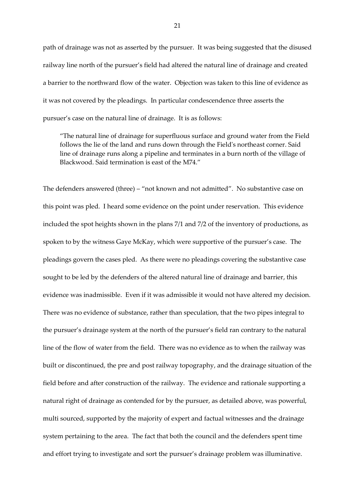path of drainage was not as asserted by the pursuer. It was being suggested that the disused railway line north of the pursuer's field had altered the natural line of drainage and created a barrier to the northward flow of the water. Objection was taken to this line of evidence as it was not covered by the pleadings. In particular condescendence three asserts the pursuer's case on the natural line of drainage. It is as follows:

"The natural line of drainage for superfluous surface and ground water from the Field follows the lie of the land and runs down through the Field's northeast corner. Said line of drainage runs along a pipeline and terminates in a burn north of the village of Blackwood. Said termination is east of the M74."

The defenders answered (three) – "not known and not admitted". No substantive case on this point was pled. I heard some evidence on the point under reservation. This evidence included the spot heights shown in the plans 7/1 and 7/2 of the inventory of productions, as spoken to by the witness Gaye McKay, which were supportive of the pursuer's case. The pleadings govern the cases pled. As there were no pleadings covering the substantive case sought to be led by the defenders of the altered natural line of drainage and barrier, this evidence was inadmissible. Even if it was admissible it would not have altered my decision. There was no evidence of substance, rather than speculation, that the two pipes integral to the pursuer's drainage system at the north of the pursuer's field ran contrary to the natural line of the flow of water from the field. There was no evidence as to when the railway was built or discontinued, the pre and post railway topography, and the drainage situation of the field before and after construction of the railway. The evidence and rationale supporting a natural right of drainage as contended for by the pursuer, as detailed above, was powerful, multi sourced, supported by the majority of expert and factual witnesses and the drainage system pertaining to the area. The fact that both the council and the defenders spent time and effort trying to investigate and sort the pursuer's drainage problem was illuminative.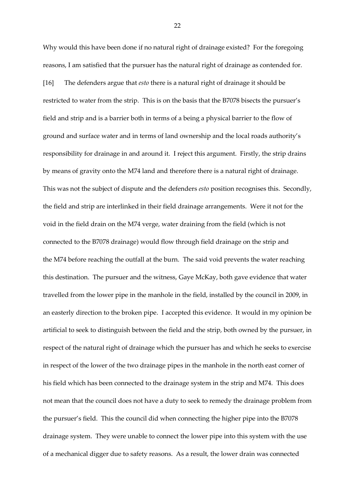Why would this have been done if no natural right of drainage existed? For the foregoing reasons, I am satisfied that the pursuer has the natural right of drainage as contended for. [16] The defenders argue that *esto* there is a natural right of drainage it should be restricted to water from the strip. This is on the basis that the B7078 bisects the pursuer's field and strip and is a barrier both in terms of a being a physical barrier to the flow of ground and surface water and in terms of land ownership and the local roads authority's responsibility for drainage in and around it. I reject this argument. Firstly, the strip drains by means of gravity onto the M74 land and therefore there is a natural right of drainage. This was not the subject of dispute and the defenders *esto* position recognises this. Secondly, the field and strip are interlinked in their field drainage arrangements. Were it not for the void in the field drain on the M74 verge, water draining from the field (which is not connected to the B7078 drainage) would flow through field drainage on the strip and the M74 before reaching the outfall at the burn. The said void prevents the water reaching this destination. The pursuer and the witness, Gaye McKay, both gave evidence that water travelled from the lower pipe in the manhole in the field, installed by the council in 2009, in an easterly direction to the broken pipe. I accepted this evidence. It would in my opinion be artificial to seek to distinguish between the field and the strip, both owned by the pursuer, in respect of the natural right of drainage which the pursuer has and which he seeks to exercise in respect of the lower of the two drainage pipes in the manhole in the north east corner of his field which has been connected to the drainage system in the strip and M74. This does not mean that the council does not have a duty to seek to remedy the drainage problem from the pursuer's field. This the council did when connecting the higher pipe into the B7078 drainage system. They were unable to connect the lower pipe into this system with the use of a mechanical digger due to safety reasons. As a result, the lower drain was connected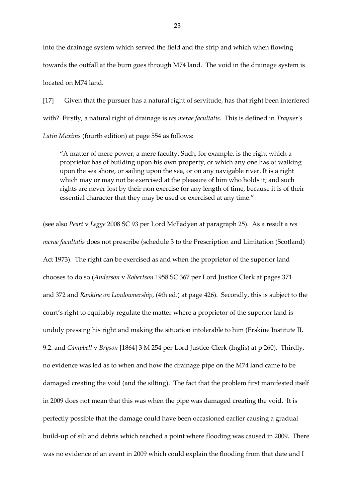into the drainage system which served the field and the strip and which when flowing towards the outfall at the burn goes through M74 land. The void in the drainage system is located on M74 land.

[17] Given that the pursuer has a natural right of servitude, has that right been interfered with? Firstly, a natural right of drainage is *res merae facultatis.* This is defined in *Trayner's Latin Maxims* (fourth edition) at page 554 as follows:

"A matter of mere power; a mere faculty. Such, for example, is the right which a proprietor has of building upon his own property, or which any one has of walking upon the sea shore, or sailing upon the sea, or on any navigable river. It is a right which may or may not be exercised at the pleasure of him who holds it; and such rights are never lost by their non exercise for any length of time, because it is of their essential character that they may be used or exercised at any time."

(see also *Peart* v *Legge* 2008 SC 93 per Lord McFadyen at paragraph 25). As a result a *res merae facultatis* does not prescribe (schedule 3 to the Prescription and Limitation (Scotland) Act 1973). The right can be exercised as and when the proprietor of the superior land chooses to do so (*Anderson* v *Robertson* 1958 SC 367 per Lord Justice Clerk at pages 371 and 372 and *Rankine on Landownership*, (4th ed.) at page 426). Secondly, this is subject to the court's right to equitably regulate the matter where a proprietor of the superior land is unduly pressing his right and making the situation intolerable to him (Erskine Institute II, 9.2. and *Campbell* v *Bryson* [1864] 3 M 254 per Lord Justice-Clerk (Inglis) at p 260). Thirdly, no evidence was led as to when and how the drainage pipe on the M74 land came to be damaged creating the void (and the silting). The fact that the problem first manifested itself in 2009 does not mean that this was when the pipe was damaged creating the void. It is perfectly possible that the damage could have been occasioned earlier causing a gradual build-up of silt and debris which reached a point where flooding was caused in 2009. There was no evidence of an event in 2009 which could explain the flooding from that date and I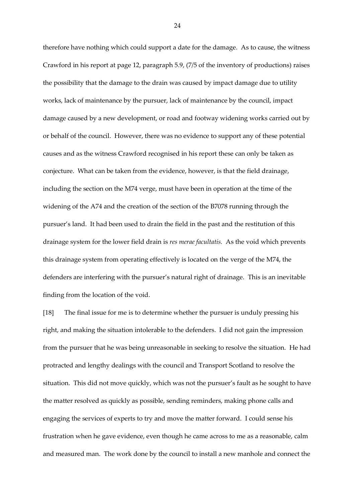therefore have nothing which could support a date for the damage. As to cause, the witness Crawford in his report at page 12, paragraph 5.9, (7/5 of the inventory of productions) raises the possibility that the damage to the drain was caused by impact damage due to utility works, lack of maintenance by the pursuer, lack of maintenance by the council, impact damage caused by a new development, or road and footway widening works carried out by or behalf of the council. However, there was no evidence to support any of these potential causes and as the witness Crawford recognised in his report these can only be taken as conjecture. What can be taken from the evidence, however, is that the field drainage, including the section on the M74 verge, must have been in operation at the time of the widening of the A74 and the creation of the section of the B7078 running through the pursuer's land. It had been used to drain the field in the past and the restitution of this drainage system for the lower field drain is *res merae facultatis.* As the void which prevents this drainage system from operating effectively is located on the verge of the M74, the defenders are interfering with the pursuer's natural right of drainage. This is an inevitable finding from the location of the void.

[18] The final issue for me is to determine whether the pursuer is unduly pressing his right, and making the situation intolerable to the defenders. I did not gain the impression from the pursuer that he was being unreasonable in seeking to resolve the situation. He had protracted and lengthy dealings with the council and Transport Scotland to resolve the situation. This did not move quickly, which was not the pursuer's fault as he sought to have the matter resolved as quickly as possible, sending reminders, making phone calls and engaging the services of experts to try and move the matter forward. I could sense his frustration when he gave evidence, even though he came across to me as a reasonable, calm and measured man. The work done by the council to install a new manhole and connect the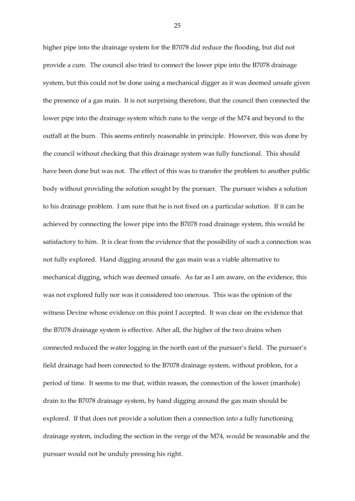higher pipe into the drainage system for the B7078 did reduce the flooding, but did not provide a cure. The council also tried to connect the lower pipe into the B7078 drainage system, but this could not be done using a mechanical digger as it was deemed unsafe given the presence of a gas main. It is not surprising therefore, that the council then connected the lower pipe into the drainage system which runs to the verge of the M74 and beyond to the outfall at the burn. This seems entirely reasonable in principle. However, this was done by the council without checking that this drainage system was fully functional. This should have been done but was not. The effect of this was to transfer the problem to another public body without providing the solution sought by the pursuer. The pursuer wishes a solution to his drainage problem. I am sure that he is not fixed on a particular solution. If it can be achieved by connecting the lower pipe into the B7078 road drainage system, this would be satisfactory to him. It is clear from the evidence that the possibility of such a connection was not fully explored. Hand digging around the gas main was a viable alternative to mechanical digging, which was deemed unsafe. As far as I am aware, on the evidence, this was not explored fully nor was it considered too onerous. This was the opinion of the witness Devine whose evidence on this point I accepted. It was clear on the evidence that the B7078 drainage system is effective. After all, the higher of the two drains when connected reduced the water logging in the north east of the pursuer's field. The pursuer's field drainage had been connected to the B7078 drainage system, without problem, for a period of time. It seems to me that, within reason, the connection of the lower (manhole) drain to the B7078 drainage system, by hand digging around the gas main should be explored. If that does not provide a solution then a connection into a fully functioning drainage system, including the section in the verge of the M74, would be reasonable and the pursuer would not be unduly pressing his right.